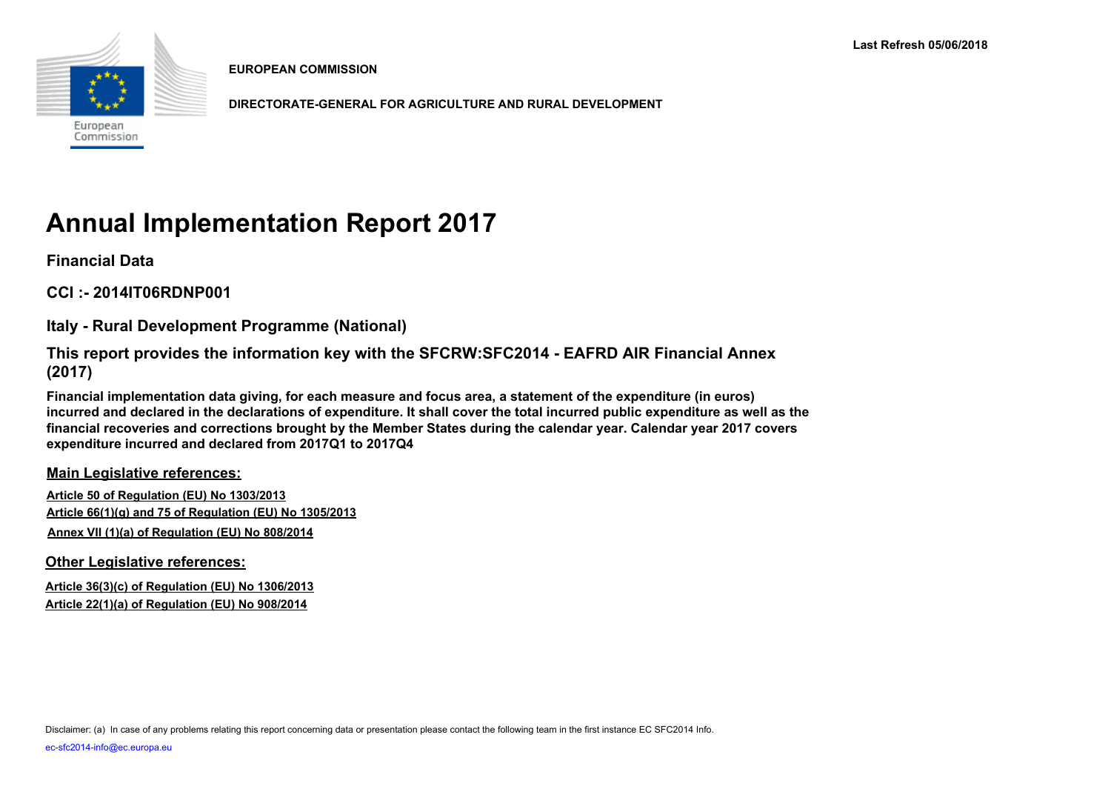

**EUROPEAN COMMISSION**

**DIRECTORATE-GENERAL FOR AGRICULTURE AND RURAL DEVELOPMENT**

# **Annual Implementation Report 2017**

**Financial Data**

**CCI :- 2014IT06RDNP001**

**Italy - Rural Development Programme (National)**

**This report provides the information key with the SFCRW:SFC2014 - EAFRD AIR Financial Annex (2017)**

**Financial implementation data giving, for each measure and focus area, a statement of the expenditure (in euros) incurred and declared in the declarations of expenditure. It shall cover the total incurred public expenditure as well as the financial recoveries and corrections brought by the Member States during the calendar year. Calendar year 2017 covers expenditure incurred and declared from 2017Q1 to 2017Q4**

**Main Legislative references:**

**Article 50 of Regulation (EU) No 1303/2013 Article 66(1)(g) and 75 of Regulation (EU) No 1305/2013 Annex VII (1)(a) of Regulation (EU) No 808/2014**

**Other Legislative references:**

**Article 36(3)(c) of Regulation (EU) No 1306/2013 Article 22(1)(a) of Regulation (EU) No 908/2014**

Disclaimer: (a) In case of any problems relating this report concerning data or presentation please contact the following team in the first instance EC SFC2014 Info.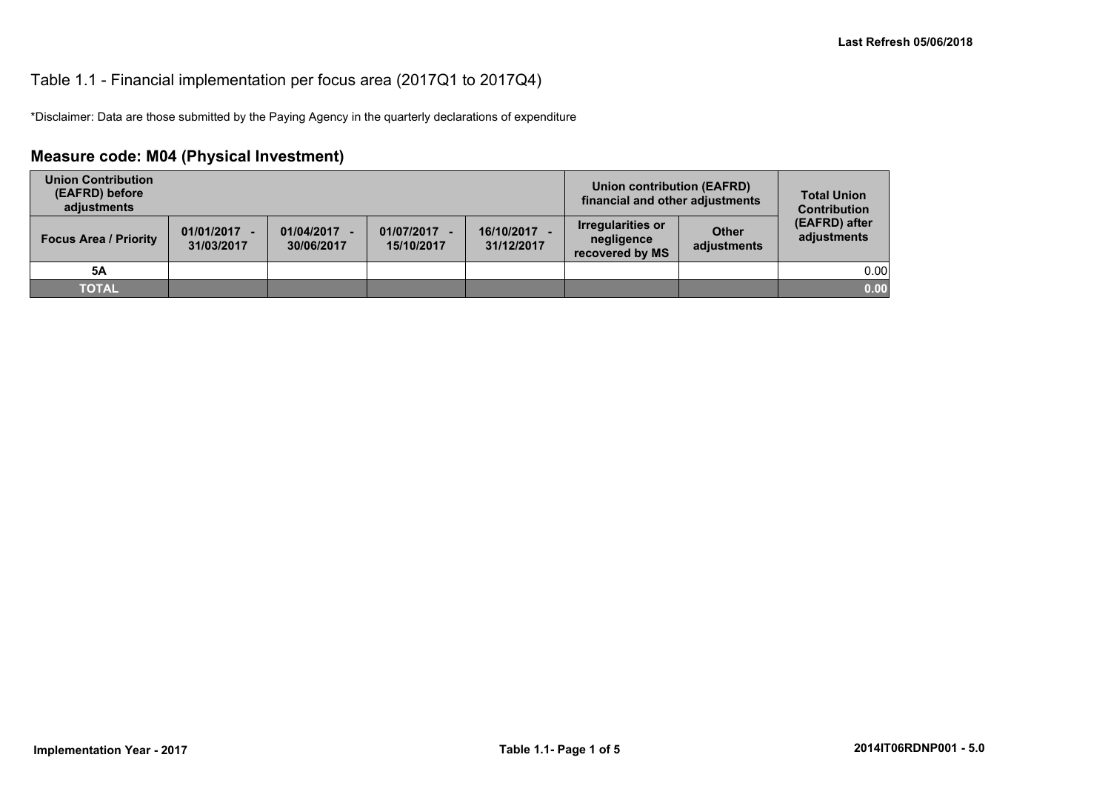#### Table 1.1 - Financial implementation per focus area (2017Q1 to 2017Q4)

\*Disclaimer: Data are those submitted by the Paying Agency in the quarterly declarations of expenditure

## **Measure code: M04 (Physical Investment)**

| <b>Union Contribution</b><br>(EAFRD) before<br>adjustments |                              |                          |                            |                          | Union contribution (EAFRD)<br>financial and other adjustments |                             | <b>Total Union</b><br><b>Contribution</b> |
|------------------------------------------------------------|------------------------------|--------------------------|----------------------------|--------------------------|---------------------------------------------------------------|-----------------------------|-------------------------------------------|
| <b>Focus Area / Priority</b>                               | $01/01/2017 -$<br>31/03/2017 | 01/04/2017<br>30/06/2017 | 01/07/2017 -<br>15/10/2017 | 16/10/2017<br>31/12/2017 | Irregularities or<br>negligence<br>recovered by MS            | <b>Other</b><br>adjustments | (EAFRD) after<br>adjustments              |
| 5A                                                         |                              |                          |                            |                          |                                                               |                             | 0.00                                      |
| <b>TOTAL</b>                                               |                              |                          |                            |                          |                                                               |                             | 0.00                                      |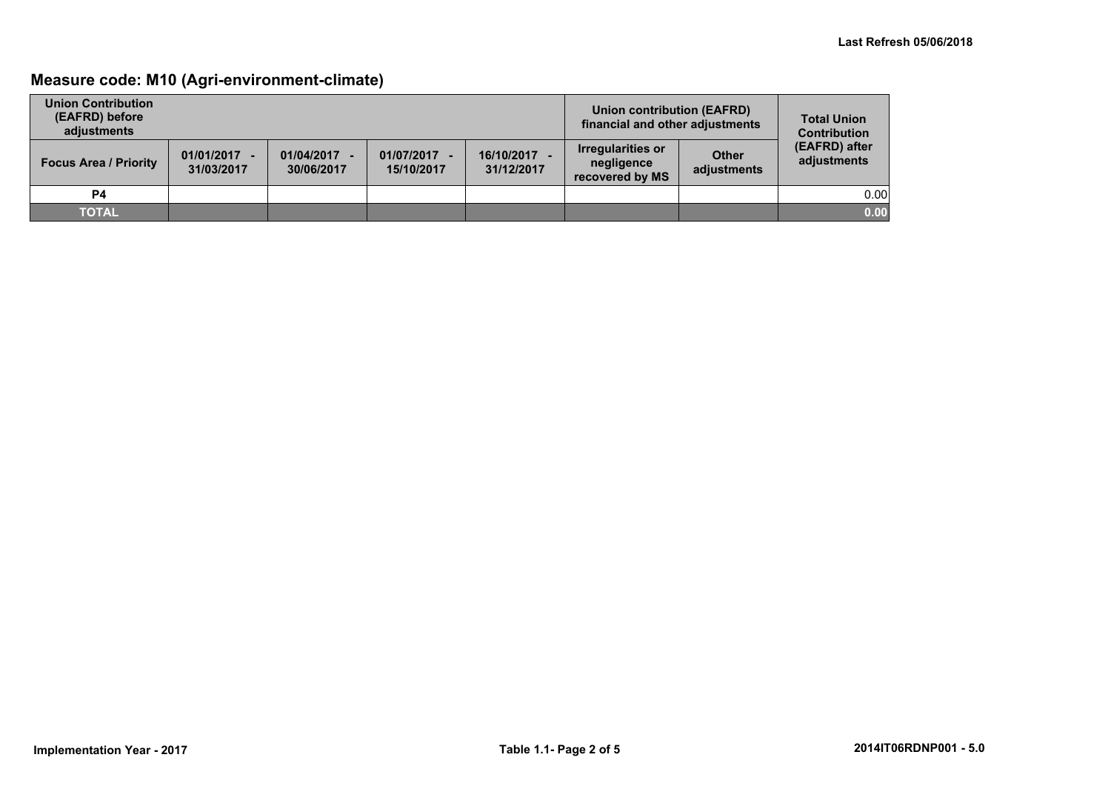## **Measure code: M10 (Agri-environment-climate)**

| <b>Union Contribution</b><br>(EAFRD) before<br>adiustments |                              |                          |                            |                          | Union contribution (EAFRD)<br>financial and other adjustments |                             | <b>Total Union</b><br><b>Contribution</b> |
|------------------------------------------------------------|------------------------------|--------------------------|----------------------------|--------------------------|---------------------------------------------------------------|-----------------------------|-------------------------------------------|
| <b>Focus Area / Priority</b>                               | $01/01/2017 -$<br>31/03/2017 | 01/04/2017<br>30/06/2017 | 01/07/2017 -<br>15/10/2017 | 16/10/2017<br>31/12/2017 | <b>Irregularities or</b><br>negligence<br>recovered by MS     | <b>Other</b><br>adjustments | (EAFRD) after<br>adjustments              |
| <b>P4</b>                                                  |                              |                          |                            |                          |                                                               |                             | 0.00                                      |
| <b>TOTAL</b>                                               |                              |                          |                            |                          |                                                               |                             | 0.00                                      |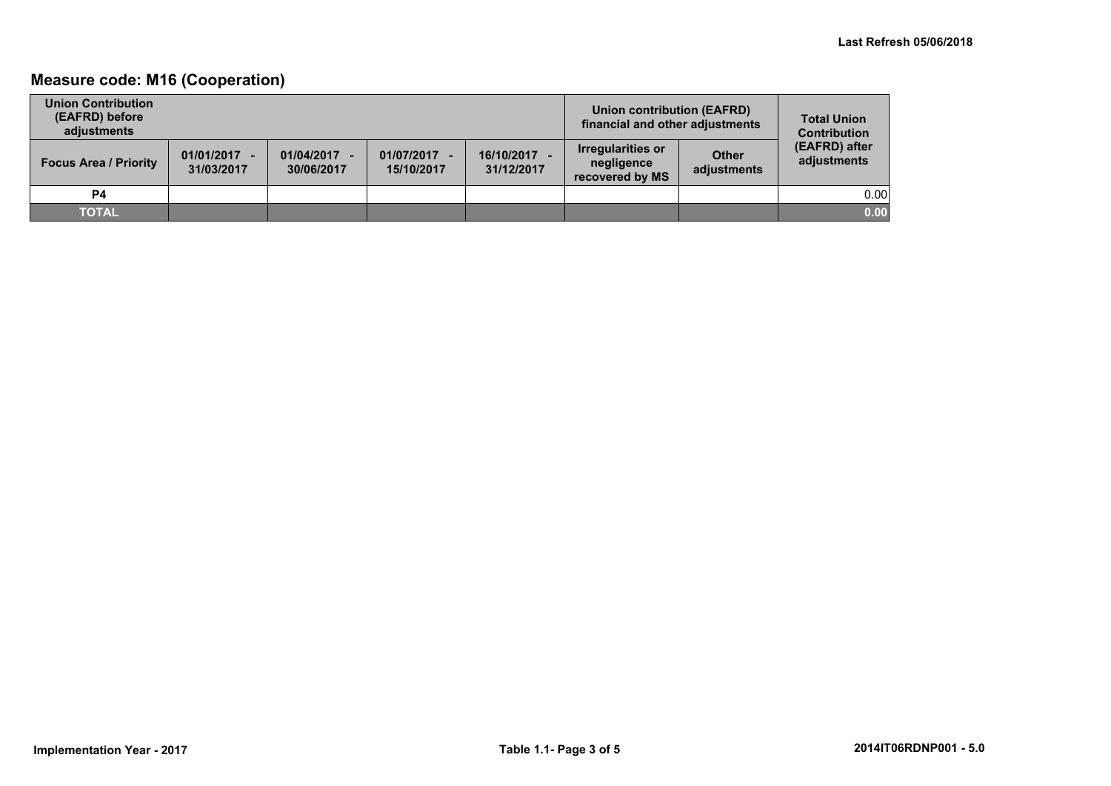## **Measure code: M16 (Cooperation)**

| <b>Union Contribution</b><br>(EAFRD) before<br>adiustments |                              |                          |                            |                          | <b>Union contribution (EAFRD)</b><br>financial and other adjustments |                             | <b>Total Union</b><br><b>Contribution</b> |
|------------------------------------------------------------|------------------------------|--------------------------|----------------------------|--------------------------|----------------------------------------------------------------------|-----------------------------|-------------------------------------------|
| <b>Focus Area / Priority</b>                               | $01/01/2017 -$<br>31/03/2017 | 01/04/2017<br>30/06/2017 | 01/07/2017 -<br>15/10/2017 | 16/10/2017<br>31/12/2017 | <b>Irregularities or</b><br>negligence<br>recovered by MS            | <b>Other</b><br>adjustments | (EAFRD) after<br>adjustments              |
| <b>P4</b>                                                  |                              |                          |                            |                          |                                                                      |                             | 0.00                                      |
| <b>TOTAL</b>                                               |                              |                          |                            |                          |                                                                      |                             | 0.00                                      |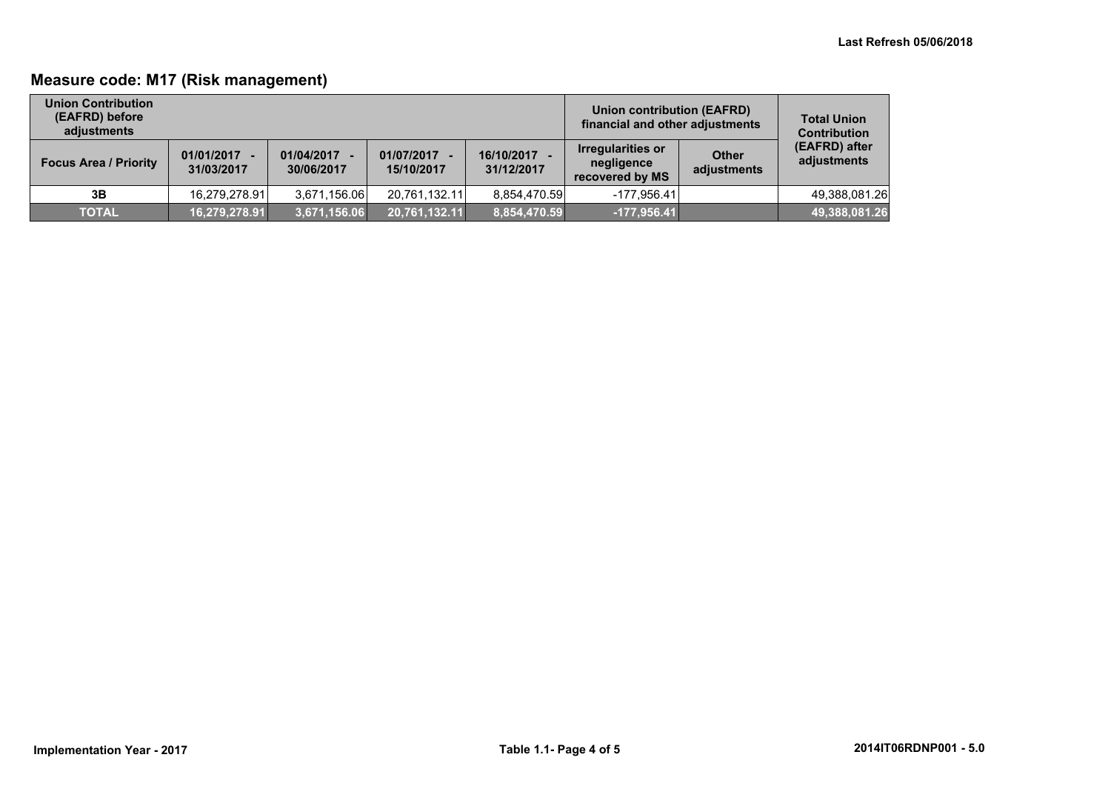## **Measure code: M17 (Risk management)**

| <b>Union Contribution</b><br>(EAFRD) before<br>adjustments |                              |                          |                            |                          | Union contribution (EAFRD)<br>financial and other adjustments |                             | <b>Total Union</b><br><b>Contribution</b> |
|------------------------------------------------------------|------------------------------|--------------------------|----------------------------|--------------------------|---------------------------------------------------------------|-----------------------------|-------------------------------------------|
| <b>Focus Area / Priority</b>                               | $01/01/2017 -$<br>31/03/2017 | 01/04/2017<br>30/06/2017 | 01/07/2017 -<br>15/10/2017 | 16/10/2017<br>31/12/2017 | Irregularities or<br>negligence<br>recovered by MS            | <b>Other</b><br>adjustments | (EAFRD) after<br>adjustments              |
| 3B                                                         | 16,279,278.91                | 3,671,156.06             | 20,761,132.11              | 8,854,470.59             | -177.956.41                                                   |                             | 49,388,081.26                             |
| <b>TOTAL</b>                                               | 16,279,278.91                | 3,671,156.06             | $\sqrt{20,761,132.11}$     | 8,854,470.59             | $-177,956.41$                                                 |                             | 49,388,081.26                             |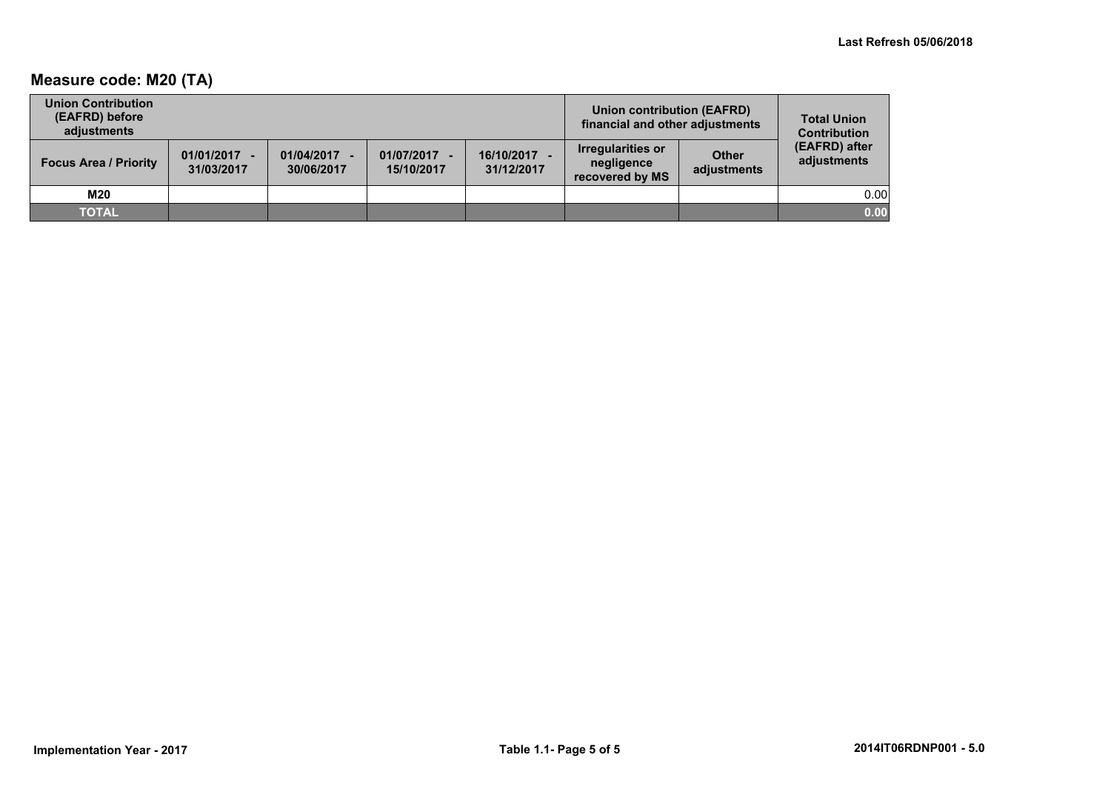## **Measure code: M20 (TA)**

| <b>Union Contribution</b><br>(EAFRD) before<br>adiustments |                              |                          |                            |                          | <b>Union contribution (EAFRD)</b><br>financial and other adjustments |                             | <b>Total Union</b><br><b>Contribution</b> |
|------------------------------------------------------------|------------------------------|--------------------------|----------------------------|--------------------------|----------------------------------------------------------------------|-----------------------------|-------------------------------------------|
| <b>Focus Area / Priority</b>                               | $01/01/2017 -$<br>31/03/2017 | 01/04/2017<br>30/06/2017 | 01/07/2017 -<br>15/10/2017 | 16/10/2017<br>31/12/2017 | <b>Irregularities or</b><br>negligence<br>recovered by MS            | <b>Other</b><br>adjustments | (EAFRD) after<br>adjustments              |
| M20                                                        |                              |                          |                            |                          |                                                                      |                             | 0.00                                      |
| <b>TOTAL</b>                                               |                              |                          |                            |                          |                                                                      |                             | 0.00                                      |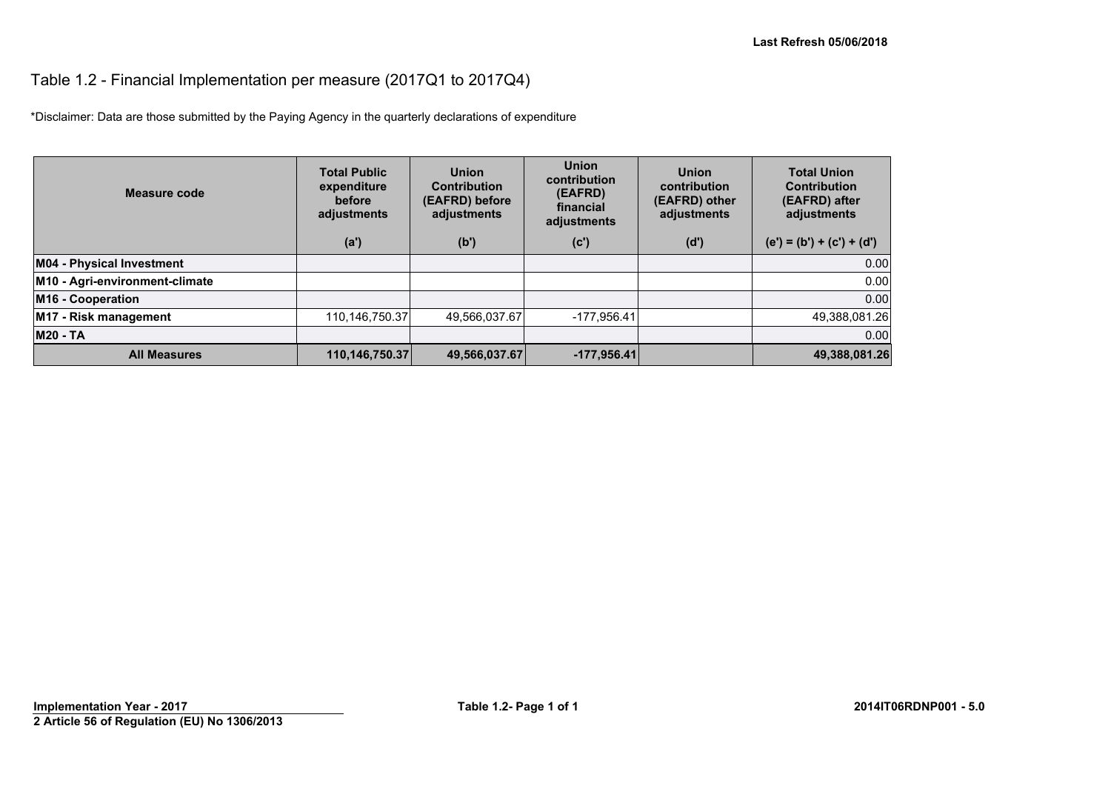## Table 1.2 - Financial Implementation per measure (2017Q1 to 2017Q4)

\*Disclaimer: Data are those submitted by the Paying Agency in the quarterly declarations of expenditure

| Measure code                     | <b>Total Public</b><br>expenditure<br>before<br>adjustments | <b>Union</b><br><b>Contribution</b><br>(EAFRD) before<br>adjustments | <b>Union</b><br>contribution<br>(EAFRD)<br>financial<br>adjustments | <b>Union</b><br>contribution<br>(EAFRD) other<br>adjustments | <b>Total Union</b><br><b>Contribution</b><br>(EAFRD) after<br>adjustments |
|----------------------------------|-------------------------------------------------------------|----------------------------------------------------------------------|---------------------------------------------------------------------|--------------------------------------------------------------|---------------------------------------------------------------------------|
|                                  | (a')                                                        | (b')                                                                 | (c')                                                                | (d')                                                         | $(e') = (b') + (c') + (d')$                                               |
| <b>M04 - Physical Investment</b> |                                                             |                                                                      |                                                                     |                                                              | 0.00                                                                      |
| M10 - Agri-environment-climate   |                                                             |                                                                      |                                                                     |                                                              | 0.00                                                                      |
| M16 - Cooperation                |                                                             |                                                                      |                                                                     |                                                              | 0.00                                                                      |
| M17 - Risk management            | 110,146,750.37                                              | 49,566,037.67                                                        | $-177.956.41$                                                       |                                                              | 49,388,081.26                                                             |
| <b>M20 - TA</b>                  |                                                             |                                                                      |                                                                     |                                                              | 0.00                                                                      |
| <b>All Measures</b>              | 110,146,750.37                                              | 49,566,037.67                                                        | $-177,956.41$                                                       |                                                              | 49,388,081.26                                                             |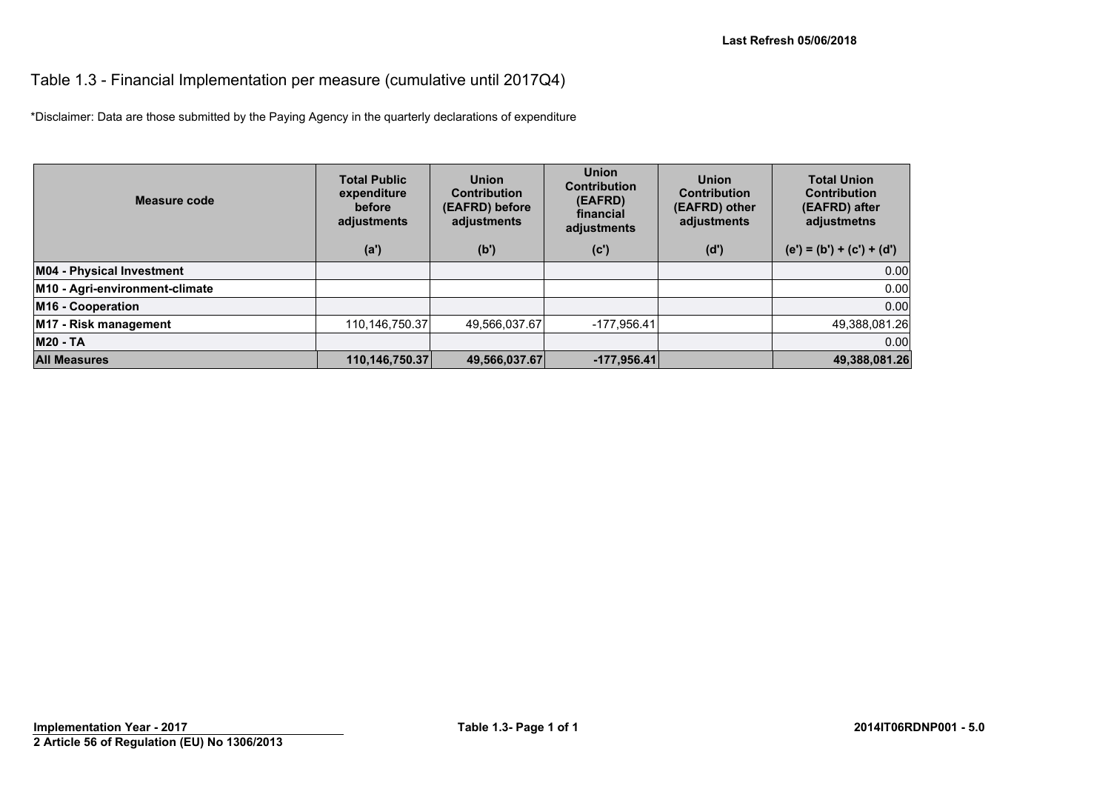#### Table 1.3 - Financial Implementation per measure (cumulative until 2017Q4)

\*Disclaimer: Data are those submitted by the Paying Agency in the quarterly declarations of expenditure

| Measure code                   | <b>Total Public</b><br>expenditure<br>before<br>adjustments | <b>Union</b><br><b>Contribution</b><br>(EAFRD) before<br>adjustments | <b>Union</b><br><b>Contribution</b><br>(EAFRD)<br>financial<br>adjustments | <b>Union</b><br><b>Contribution</b><br>(EAFRD) other<br>adjustments | <b>Total Union</b><br><b>Contribution</b><br>(EAFRD) after<br>adjustmetns |
|--------------------------------|-------------------------------------------------------------|----------------------------------------------------------------------|----------------------------------------------------------------------------|---------------------------------------------------------------------|---------------------------------------------------------------------------|
|                                | (a')                                                        | (b')                                                                 | (c')                                                                       | (d')                                                                | $(e') = (b') + (c') + (d')$                                               |
| M04 - Physical Investment      |                                                             |                                                                      |                                                                            |                                                                     | 0.00                                                                      |
| M10 - Agri-environment-climate |                                                             |                                                                      |                                                                            |                                                                     | 0.00                                                                      |
| M16 - Cooperation              |                                                             |                                                                      |                                                                            |                                                                     | 0.00                                                                      |
| M17 - Risk management          | 110,146,750.37                                              | 49,566,037.67                                                        | $-177,956.41$                                                              |                                                                     | 49,388,081.26                                                             |
| <b>M20 - TA</b>                |                                                             |                                                                      |                                                                            |                                                                     | 0.00                                                                      |
| <b>All Measures</b>            | 110,146,750.37                                              | 49,566,037.67                                                        | $-177,956.41$                                                              |                                                                     | 49,388,081.26                                                             |